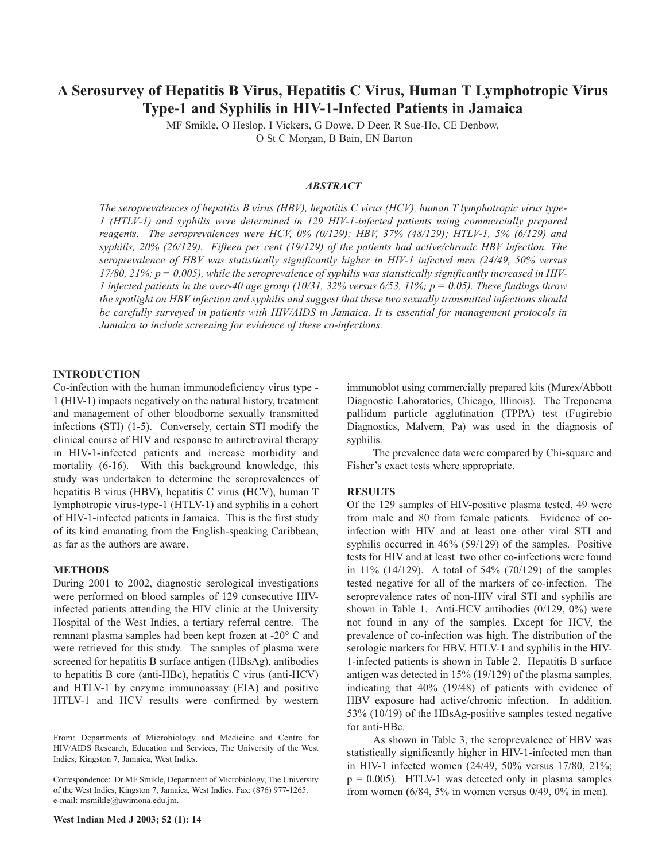# **A Serosurvey of Hepatitis B Virus, Hepatitis C Virus, Human T Lymphotropic Virus Type-1 and Syphilis in HIV-1-Infected Patients in Jamaica**

MF Smikle, O Heslop, I Vickers, G Dowe, D Deer, R Sue-Ho, CE Denbow, O St C Morgan, B Bain, EN Barton

# *ABSTRACT*

*The seroprevalences of hepatitis B virus (HBV), hepatitis C virus (HCV), human T lymphotropic virus type-1 (HTLV-1) and syphilis were determined in 129 HIV-1-infected patients using commercially prepared reagents. The seroprevalences were HCV, 0% (0/129); HBV, 37% (48/129); HTLV-1, 5% (6/129) and syphilis, 20% (26/129). Fifteen per cent (19/129) of the patients had active/chronic HBV infection. The seroprevalence of HBV was statistically significantly higher in HIV-1 infected men (24/49, 50% versus* 17/80, 21%;  $p = 0.005$ ), while the seroprevalence of syphilis was statistically significantly increased in HIV-1 infected patients in the over-40 age group (10/31, 32% versus 6/53, 11%;  $p = 0.05$ ). These findings throw *the spotlight on HBV infection and syphilis and suggest that these two sexually transmitted infections should be carefully surveyed in patients with HIV/AIDS in Jamaica. It is essential for management protocols in Jamaica to include screening for evidence of these co-infections.*

## **INTRODUCTION**

Co-infection with the human immunodeficiency virus type - 1 (HIV-1) impacts negatively on the natural history, treatment and management of other bloodborne sexually transmitted infections (STI) (1-5). Conversely, certain STI modify the clinical course of HIV and response to antiretroviral therapy in HIV-1-infected patients and increase morbidity and mortality (6-16). With this background knowledge, this study was undertaken to determine the seroprevalences of hepatitis B virus (HBV), hepatitis C virus (HCV), human T lymphotropic virus-type-1 (HTLV-1) and syphilis in a cohort of HIV-1-infected patients in Jamaica. This is the first study of its kind emanating from the English-speaking Caribbean, as far as the authors are aware.

#### **METHODS**

During 2001 to 2002, diagnostic serological investigations were performed on blood samples of 129 consecutive HIVinfected patients attending the HIV clinic at the University Hospital of the West Indies, a tertiary referral centre. The remnant plasma samples had been kept frozen at -20° C and were retrieved for this study. The samples of plasma were screened for hepatitis B surface antigen (HBsAg), antibodies to hepatitis B core (anti-HBc), hepatitis C virus (anti-HCV) and HTLV-1 by enzyme immunoassay (EIA) and positive HTLV-1 and HCV results were confirmed by western immunoblot using commercially prepared kits (Murex/Abbott Diagnostic Laboratories, Chicago, Illinois). The Treponema pallidum particle agglutination (TPPA) test (Fugirebio Diagnostics, Malvern, Pa) was used in the diagnosis of syphilis.

The prevalence data were compared by Chi-square and Fisher's exact tests where appropriate.

### **RESULTS**

Of the 129 samples of HIV-positive plasma tested, 49 were from male and 80 from female patients. Evidence of coinfection with HIV and at least one other viral STI and syphilis occurred in 46% (59/129) of the samples. Positive tests for HIV and at least two other co-infections were found in 11% (14/129). A total of 54% (70/129) of the samples tested negative for all of the markers of co-infection. The seroprevalence rates of non-HIV viral STI and syphilis are shown in Table 1. Anti-HCV antibodies (0/129, 0%) were not found in any of the samples. Except for HCV, the prevalence of co-infection was high. The distribution of the serologic markers for HBV, HTLV-1 and syphilis in the HIV-1-infected patients is shown in Table 2. Hepatitis B surface antigen was detected in 15% (19/129) of the plasma samples, indicating that 40% (19/48) of patients with evidence of HBV exposure had active/chronic infection. In addition, 53% (10/19) of the HBsAg-positive samples tested negative for anti-HBc.

As shown in Table 3, the seroprevalence of HBV was statistically significantly higher in HIV-1-infected men than in HIV-1 infected women (24/49, 50% versus 17/80, 21%;  $p = 0.005$ ). HTLV-1 was detected only in plasma samples from women  $(6/84, 5\%$  in women versus  $0/49, 0\%$  in men).

From: Departments of Microbiology and Medicine and Centre for HIV/AIDS Research, Education and Services, The University of the West Indies, Kingston 7, Jamaica, West Indies.

Correspondence: Dr MF Smikle, Department of Microbiology, The University of the West Indies, Kingston 7, Jamaica, West Indies. Fax: (876) 977-1265. e-mail: msmikle@uwimona.edu.jm.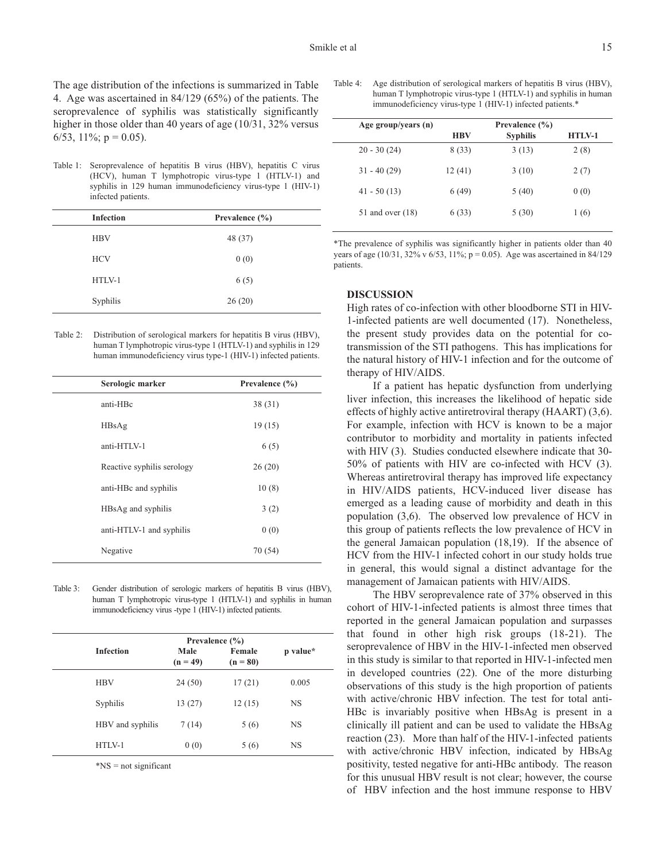The age distribution of the infections is summarized in Table 4. Age was ascertained in 84/129 (65%) of the patients. The seroprevalence of syphilis was statistically significantly higher in those older than 40 years of age (10/31, 32% versus 6/53, 11%;  $p = 0.05$ ).

Table 1: Seroprevalence of hepatitis B virus (HBV), hepatitis C virus (HCV), human T lymphotropic virus-type 1 (HTLV-1) and syphilis in 129 human immunodeficiency virus-type 1 (HIV-1) infected patients.

| <b>Infection</b> | Prevalence $(\% )$ |
|------------------|--------------------|
| <b>HBV</b>       | 48 (37)            |
| <b>HCV</b>       | 0(0)               |
| HTLV-1           | 6(5)               |
| Syphilis         | 26(20)             |

| Table 2: | Distribution of serological markers for hepatitis B virus (HBV), |
|----------|------------------------------------------------------------------|
|          | human T lymphotropic virus-type 1 (HTLV-1) and syphilis in 129   |
|          | human immunodeficiency virus type-1 (HIV-1) infected patients.   |

| Serologic marker           | Prevalence $(\% )$ |
|----------------------------|--------------------|
| anti-HBc                   | 38(31)             |
| HBsAg                      | 19(15)             |
| $anti-HTIN-1$              | 6(5)               |
| Reactive syphilis serology | 26(20)             |
| anti-HBc and syphilis      | 10(8)              |
| HBsAg and syphilis         | 3(2)               |
| anti-HTLV-1 and syphilis   | 0(0)               |
| Negative                   | 70 (54)            |

Table 3: Gender distribution of serologic markers of hepatitis B virus (HBV), human T lymphotropic virus-type 1 (HTLV-1) and syphilis in human immunodeficiency virus -type 1 (HIV-1) infected patients.

|                  |                    | Prevalence $(\% )$   |           |
|------------------|--------------------|----------------------|-----------|
| <b>Infection</b> | Male<br>$(n = 49)$ | Female<br>$(n = 80)$ | p value*  |
| <b>HBV</b>       | 24(50)             | 17(21)               | 0.005     |
| Syphilis         | 13(27)             | 12(15)               | <b>NS</b> |
| HBV and syphilis | 7(14)              | 5(6)                 | <b>NS</b> |
| $HTLY-1$         | 0(0)               | 5(6)                 | <b>NS</b> |

\*NS = not significant

Table 4: Age distribution of serological markers of hepatitis B virus (HBV), human T lymphotropic virus-type 1 (HTLV-1) and syphilis in human immunodeficiency virus-type 1 (HIV-1) infected patients.\*

| Age group/years (n) | Prevalence $(\% )$ |                 |          |  |
|---------------------|--------------------|-----------------|----------|--|
|                     | <b>HBV</b>         | <b>Syphilis</b> | $HTIN-1$ |  |
| $20 - 30(24)$       | 8 (33)             | 3(13)           | 2(8)     |  |
| $31 - 40(29)$       | 12(41)             | 3(10)           | 2(7)     |  |
| $41 - 50(13)$       | 6(49)              | 5 (40)          | 0(0)     |  |
| 51 and over $(18)$  | 6(33)              | 5 (30)          | 1(6)     |  |

\*The prevalence of syphilis was significantly higher in patients older than 40 years of age (10/31, 32% v 6/53, 11%;  $p = 0.05$ ). Age was ascertained in 84/129 patients.

#### **DISCUSSION**

High rates of co-infection with other bloodborne STI in HIV-1-infected patients are well documented (17). Nonetheless, the present study provides data on the potential for cotransmission of the STI pathogens. This has implications for the natural history of HIV-1 infection and for the outcome of therapy of HIV/AIDS.

If a patient has hepatic dysfunction from underlying liver infection, this increases the likelihood of hepatic side effects of highly active antiretroviral therapy (HAART) (3,6). For example, infection with HCV is known to be a major contributor to morbidity and mortality in patients infected with HIV (3). Studies conducted elsewhere indicate that 30-50% of patients with HIV are co-infected with HCV (3). Whereas antiretroviral therapy has improved life expectancy in HIV/AIDS patients, HCV-induced liver disease has emerged as a leading cause of morbidity and death in this population (3,6). The observed low prevalence of HCV in this group of patients reflects the low prevalence of HCV in the general Jamaican population (18,19). If the absence of HCV from the HIV-1 infected cohort in our study holds true in general, this would signal a distinct advantage for the management of Jamaican patients with HIV/AIDS.

The HBV seroprevalence rate of 37% observed in this cohort of HIV-1-infected patients is almost three times that reported in the general Jamaican population and surpasses that found in other high risk groups (18-21). The seroprevalence of HBV in the HIV-1-infected men observed in this study is similar to that reported in HIV-1-infected men in developed countries (22). One of the more disturbing observations of this study is the high proportion of patients with active/chronic HBV infection. The test for total anti-HBc is invariably positive when HBsAg is present in a clinically ill patient and can be used to validate the HBsAg reaction (23). More than half of the HIV-1-infected patients with active/chronic HBV infection, indicated by HBsAg positivity, tested negative for anti-HBc antibody. The reason for this unusual HBV result is not clear; however, the course of HBV infection and the host immune response to HBV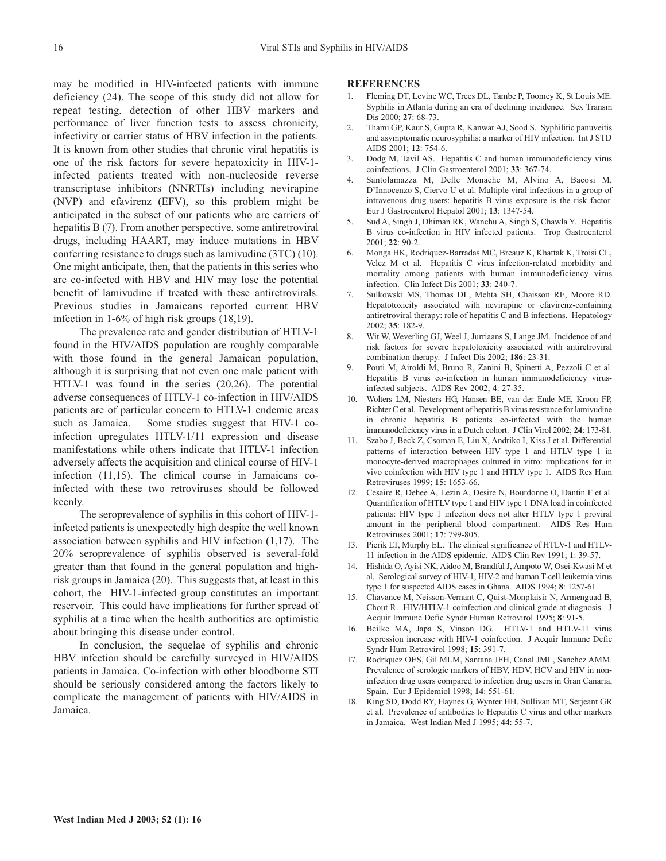may be modified in HIV-infected patients with immune deficiency (24). The scope of this study did not allow for repeat testing, detection of other HBV markers and performance of liver function tests to assess chronicity, infectivity or carrier status of HBV infection in the patients. It is known from other studies that chronic viral hepatitis is one of the risk factors for severe hepatoxicity in HIV-1 infected patients treated with non-nucleoside reverse transcriptase inhibitors (NNRTIs) including nevirapine (NVP) and efavirenz (EFV), so this problem might be anticipated in the subset of our patients who are carriers of hepatitis B (7). From another perspective, some antiretroviral drugs, including HAART, may induce mutations in HBV conferring resistance to drugs such as lamivudine (3TC) (10). One might anticipate, then, that the patients in this series who are co-infected with HBV and HIV may lose the potential benefit of lamivudine if treated with these antiretrovirals. Previous studies in Jamaicans reported current HBV infection in 1-6% of high risk groups (18,19).

The prevalence rate and gender distribution of HTLV-1 found in the HIV/AIDS population are roughly comparable with those found in the general Jamaican population, although it is surprising that not even one male patient with HTLV-1 was found in the series (20,26). The potential adverse consequences of HTLV-1 co-infection in HIV/AIDS patients are of particular concern to HTLV-1 endemic areas such as Jamaica. Some studies suggest that HIV-1 coinfection upregulates HTLV-1/11 expression and disease manifestations while others indicate that HTLV-1 infection adversely affects the acquisition and clinical course of HIV-1 infection (11,15). The clinical course in Jamaicans coinfected with these two retroviruses should be followed keenly.

The seroprevalence of syphilis in this cohort of HIV-1 infected patients is unexpectedly high despite the well known association between syphilis and HIV infection (1,17). The 20% seroprevalence of syphilis observed is several-fold greater than that found in the general population and highrisk groups in Jamaica (20). This suggests that, at least in this cohort, the HIV-1-infected group constitutes an important reservoir. This could have implications for further spread of syphilis at a time when the health authorities are optimistic about bringing this disease under control.

In conclusion, the sequelae of syphilis and chronic HBV infection should be carefully surveyed in HIV/AIDS patients in Jamaica. Co-infection with other bloodborne STI should be seriously considered among the factors likely to complicate the management of patients with HIV/AIDS in Jamaica.

#### **REFERENCES**

- 1. Fleming DT, Levine WC, Trees DL, Tambe P, Toomey K, St Louis ME. Syphilis in Atlanta during an era of declining incidence. Sex Transm Dis 2000; **27**: 68-73.
- 2. Thami GP, Kaur S, Gupta R, Kanwar AJ, Sood S. Syphilitic panuveitis and asymptomatic neurosyphilis: a marker of HIV infection. Int J STD AIDS 2001; **12**: 754-6.
- 3. Dodg M, Tavil AS. Hepatitis C and human immunodeficiency virus coinfections. J Clin Gastroenterol 2001; **33**: 367-74.
- 4. Santolamazza M, Delle Monache M, Alvino A, Bacosi M, D'Innocenzo S, Ciervo U et al. Multiple viral infections in a group of intravenous drug users: hepatitis B virus exposure is the risk factor. Eur J Gastroenterol Hepatol 2001; **13**: 1347-54.
- 5. Sud A, Singh J, Dhiman RK, Wanchu A, Singh S, Chawla Y. Hepatitis B virus co-infection in HIV infected patients. Trop Gastroenterol 2001; **22**: 90-2.
- 6. Monga HK, Rodriquez-Barradas MC, Breauz K, Khattak K, Troisi CL, Velez M et al. Hepatitis C virus infection-related morbidity and mortality among patients with human immunodeficiency virus infection. Clin Infect Dis 2001; **33**: 240-7.
- 7. Sulkowski MS, Thomas DL, Mehta SH, Chaisson RE, Moore RD. Hepatotoxicity associated with nevirapine or efavirenz-containing antiretroviral therapy: role of hepatitis C and B infections. Hepatology 2002; **35**: 182-9.
- 8. Wit W, Weverling GJ, Weel J, Jurriaans S, Lange JM. Incidence of and risk factors for severe hepatotoxicity associated with antiretroviral combination therapy. J Infect Dis 2002; **186**: 23-31.
- 9. Pouti M, Airoldi M, Bruno R, Zanini B, Spinetti A, Pezzoli C et al. Hepatitis B virus co-infection in human immunodeficiency virusinfected subjects. AIDS Rev 2002; **4**: 27-35.
- 10. Wolters LM, Niesters HG, Hansen BE, van der Ende ME, Kroon FP, Richter C et al. Development of hepatitis B virus resistance for lamivudine in chronic hepatitis B patients co-infected with the human immunodeficiency virus in a Dutch cohort. J Clin Virol 2002; **24**: 173-81.
- 11. Szabo J, Beck Z, Csoman E, Liu X, Andriko I, Kiss J et al. Differential patterns of interaction between HIV type 1 and HTLV type 1 in monocyte-derived macrophages cultured in vitro: implications for in vivo coinfection with HIV type 1 and HTLV type 1. AIDS Res Hum Retroviruses 1999; **15**: 1653-66.
- 12. Cesaire R, Dehee A, Lezin A, Desire N, Bourdonne O, Dantin F et al. Quantification of HTLV type 1 and HIV type 1 DNA load in coinfected patients: HIV type 1 infection does not alter HTLV type 1 proviral amount in the peripheral blood compartment. AIDS Res Hum Retroviruses 2001; **17**: 799-805.
- 13. Pierik LT, Murphy EL. The clinical significance of HTLV-1 and HTLV-11 infection in the AIDS epidemic. AIDS Clin Rev 1991; **1**: 39-57.
- 14. Hishida O, Ayisi NK, Aidoo M, Brandful J, Ampoto W, Osei-Kwasi M et al. Serological survey of HIV-1, HIV-2 and human T-cell leukemia virus type 1 for suspected AIDS cases in Ghana. AIDS 1994; **8**: 1257-61.
- 15. Chavance M, Neisson-Vernant C, Quist-Monplaisir N, Armenguad B, Chout R. HIV/HTLV-1 coinfection and clinical grade at diagnosis. J Acquir Immune Defic Syndr Human Retrovirol 1995; **8**: 91-5.
- 16. Beilke MA, Japa S, Vinson DG. HTLV-1 and HTLV-11 virus expression increase with HIV-1 coinfection. J Acquir Immune Defic Syndr Hum Retrovirol 1998; **15**: 391-7.
- 17. Rodriquez OES, Gil MLM, Santana JFH, Canal JML, Sanchez AMM. Prevalence of serologic markers of HBV, HDV, HCV and HIV in noninfection drug users compared to infection drug users in Gran Canaria, Spain. Eur J Epidemiol 1998; **14**: 551-61.
- 18. King SD, Dodd RY, Haynes G, Wynter HH, Sullivan MT, Serjeant GR et al. Prevalence of antibodies to Hepatitis C virus and other markers in Jamaica. West Indian Med J 1995; **44**: 55-7.